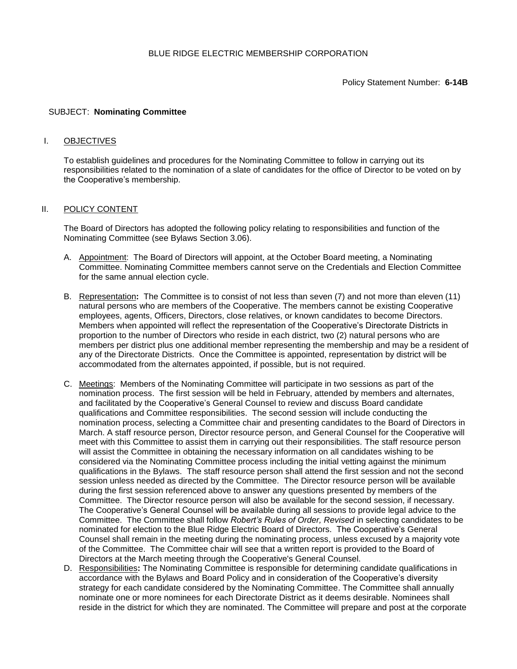## SUBJECT: **Nominating Committee**

## I. OBJECTIVES

To establish guidelines and procedures for the Nominating Committee to follow in carrying out its responsibilities related to the nomination of a slate of candidates for the office of Director to be voted on by the Cooperative's membership.

# II. POLICY CONTENT

The Board of Directors has adopted the following policy relating to responsibilities and function of the Nominating Committee (see Bylaws Section 3.06).

- A. Appointment: The Board of Directors will appoint, at the October Board meeting, a Nominating Committee. Nominating Committee members cannot serve on the Credentials and Election Committee for the same annual election cycle.
- B. Representation**:** The Committee is to consist of not less than seven (7) and not more than eleven (11) natural persons who are members of the Cooperative. The members cannot be existing Cooperative employees, agents, Officers, Directors, close relatives, or known candidates to become Directors. Members when appointed will reflect the representation of the Cooperative's Directorate Districts in proportion to the number of Directors who reside in each district, two (2) natural persons who are members per district plus one additional member representing the membership and may be a resident of any of the Directorate Districts. Once the Committee is appointed, representation by district will be accommodated from the alternates appointed, if possible, but is not required.
- C. Meetings: Members of the Nominating Committee will participate in two sessions as part of the nomination process. The first session will be held in February, attended by members and alternates, and facilitated by the Cooperative's General Counsel to review and discuss Board candidate qualifications and Committee responsibilities. The second session will include conducting the nomination process, selecting a Committee chair and presenting candidates to the Board of Directors in March. A staff resource person, Director resource person, and General Counsel for the Cooperative will meet with this Committee to assist them in carrying out their responsibilities. The staff resource person will assist the Committee in obtaining the necessary information on all candidates wishing to be considered via the Nominating Committee process including the initial vetting against the minimum qualifications in the Bylaws. The staff resource person shall attend the first session and not the second session unless needed as directed by the Committee. The Director resource person will be available during the first session referenced above to answer any questions presented by members of the Committee. The Director resource person will also be available for the second session, if necessary. The Cooperative's General Counsel will be available during all sessions to provide legal advice to the Committee. The Committee shall follow *Robert's Rules of Order, Revised* in selecting candidates to be nominated for election to the Blue Ridge Electric Board of Directors. The Cooperative's General Counsel shall remain in the meeting during the nominating process, unless excused by a majority vote of the Committee. The Committee chair will see that a written report is provided to the Board of Directors at the March meeting through the Cooperative's General Counsel.
- D. Responsibilities**:** The Nominating Committee is responsible for determining candidate qualifications in accordance with the Bylaws and Board Policy and in consideration of the Cooperative's diversity strategy for each candidate considered by the Nominating Committee. The Committee shall annually nominate one or more nominees for each Directorate District as it deems desirable. Nominees shall reside in the district for which they are nominated. The Committee will prepare and post at the corporate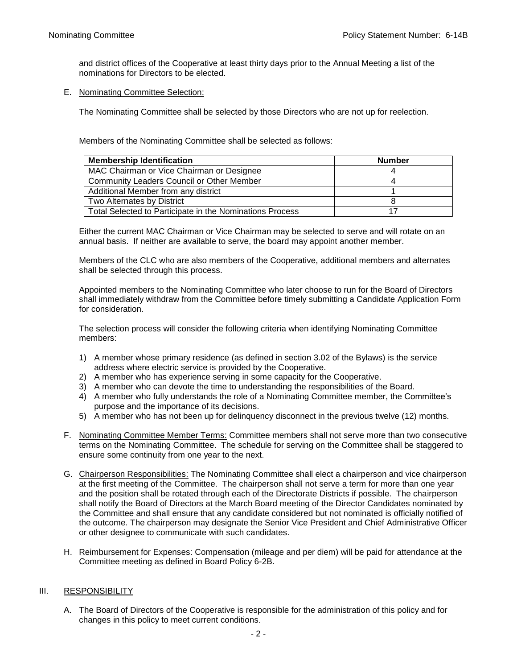and district offices of the Cooperative at least thirty days prior to the Annual Meeting a list of the nominations for Directors to be elected.

E. Nominating Committee Selection:

The Nominating Committee shall be selected by those Directors who are not up for reelection.

Members of the Nominating Committee shall be selected as follows:

| <b>Membership Identification</b>                         | <b>Number</b> |
|----------------------------------------------------------|---------------|
| MAC Chairman or Vice Chairman or Designee                |               |
| Community Leaders Council or Other Member                |               |
| Additional Member from any district                      |               |
| Two Alternates by District                               |               |
| Total Selected to Participate in the Nominations Process |               |

Either the current MAC Chairman or Vice Chairman may be selected to serve and will rotate on an annual basis. If neither are available to serve, the board may appoint another member.

Members of the CLC who are also members of the Cooperative, additional members and alternates shall be selected through this process.

Appointed members to the Nominating Committee who later choose to run for the Board of Directors shall immediately withdraw from the Committee before timely submitting a Candidate Application Form for consideration.

The selection process will consider the following criteria when identifying Nominating Committee members:

- 1) A member whose primary residence (as defined in section 3.02 of the Bylaws) is the service address where electric service is provided by the Cooperative.
- 2) A member who has experience serving in some capacity for the Cooperative.
- 3) A member who can devote the time to understanding the responsibilities of the Board.
- 4) A member who fully understands the role of a Nominating Committee member, the Committee's purpose and the importance of its decisions.
- 5) A member who has not been up for delinquency disconnect in the previous twelve (12) months.
- F. Nominating Committee Member Terms: Committee members shall not serve more than two consecutive terms on the Nominating Committee. The schedule for serving on the Committee shall be staggered to ensure some continuity from one year to the next.
- G. Chairperson Responsibilities: The Nominating Committee shall elect a chairperson and vice chairperson at the first meeting of the Committee. The chairperson shall not serve a term for more than one year and the position shall be rotated through each of the Directorate Districts if possible. The chairperson shall notify the Board of Directors at the March Board meeting of the Director Candidates nominated by the Committee and shall ensure that any candidate considered but not nominated is officially notified of the outcome. The chairperson may designate the Senior Vice President and Chief Administrative Officer or other designee to communicate with such candidates.
- H. Reimbursement for Expenses: Compensation (mileage and per diem) will be paid for attendance at the Committee meeting as defined in Board Policy 6-2B.

#### III. RESPONSIBILITY

A. The Board of Directors of the Cooperative is responsible for the administration of this policy and for changes in this policy to meet current conditions.